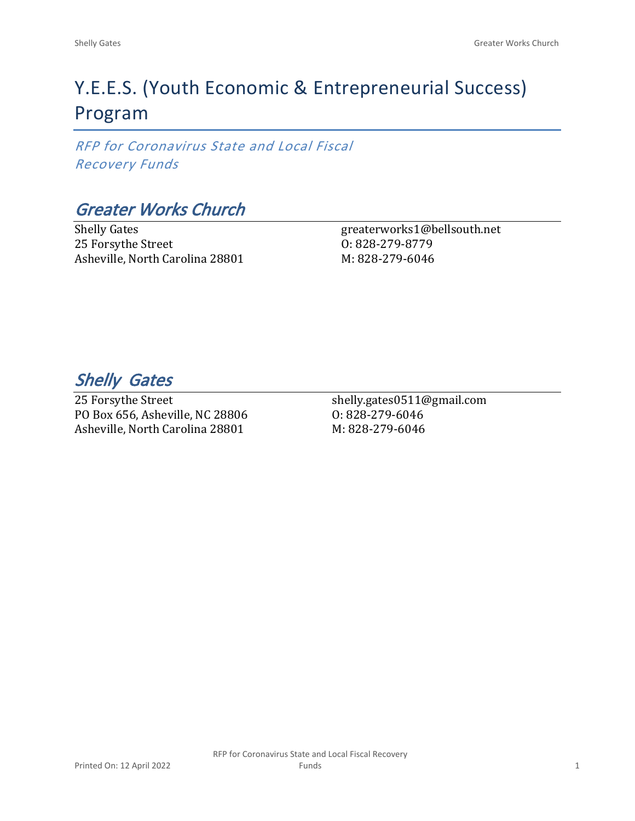# Y.E.E.S. (Youth Economic & Entrepreneurial Success) Program

*RFP for Coronavirus State and Local Fiscal Recovery Funds*

# *Greater Works Church*

Shelly Gates 25 Forsythe Street Asheville, North Carolina 28801

greaterworks1@bellsouth.net O: 828-279-8779 M: 828-279-6046

*Shelly Gates* 

25 Forsythe Street PO Box 656, Asheville, NC 28806 Asheville, North Carolina 28801

shelly.gates0511@gmail.com O: 828-279-6046 M: 828-279-6046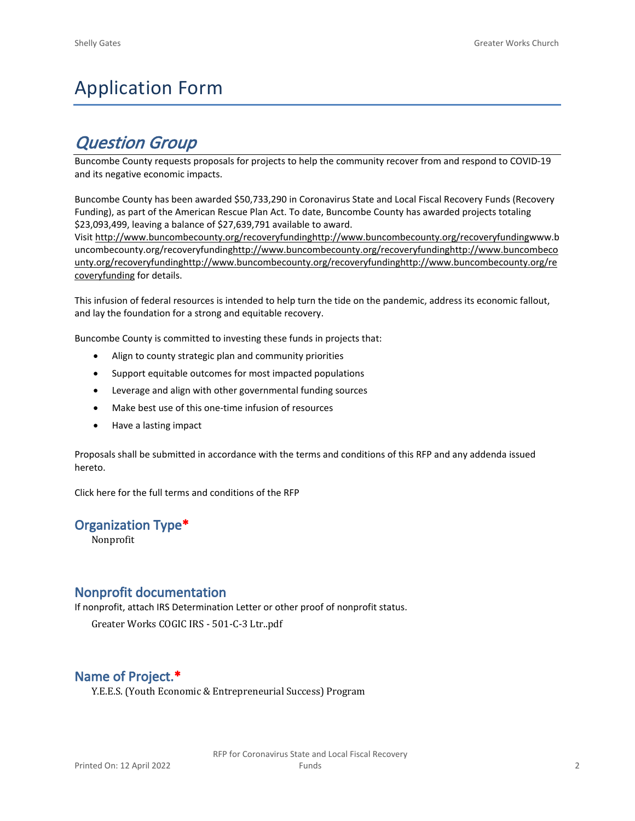# Application Form

# *Question Group*

Buncombe County requests proposals for projects to help the community recover from and respond to COVID-19 and its negative economic impacts.

Buncombe County has been awarded \$50,733,290 in Coronavirus State and Local Fiscal Recovery Funds (Recovery Funding), as part of the American Rescue Plan Act. To date, Buncombe County has awarded projects totaling \$23,093,499, leaving a balance of \$27,639,791 available to award.

Visit [http://www.buncombecounty.org/recoveryfundinghttp://www.buncombecounty.org/recoveryfundingwww.b](http://www.buncombecounty.org/recoveryfunding) [uncombecounty.org/recoveryfundinghttp://www.buncombecounty.org/recoveryfundinghttp://www.buncombeco](http://www.buncombecounty.org/recoveryfunding) [unty.org/recoveryfundinghttp://www.buncombecounty.org/recoveryfundinghttp://www.buncombecounty.org/re](http://www.buncombecounty.org/recoveryfunding) [coveryfunding](http://www.buncombecounty.org/recoveryfunding) for details.

This infusion of federal resources is intended to help turn the tide on the pandemic, address its economic fallout, and lay the foundation for a strong and equitable recovery.

Buncombe County is committed to investing these funds in projects that:

- Align to county strategic plan and community priorities
- Support equitable outcomes for most impacted populations
- Leverage and align with other governmental funding sources
- Make best use of this one-time infusion of resources
- Have a lasting impact

Proposals shall be submitted in accordance with the terms and conditions of this RFP and any addenda issued hereto.

Click [here](https://www.buncombecounty.org/common/purchasing/Buncombe%20Recovery%20Funding%20RFP%202022.pdf) for the full terms and conditions of the RFP

# **Organization Type\***

Nonprofit

# **Nonprofit documentation**

If nonprofit, attach IRS Determination Letter or other proof of nonprofit status.

Greater Works COGIC IRS - 501-C-3 Ltr..pdf

# **Name of Project.\***

Y.E.E.S. (Youth Economic & Entrepreneurial Success) Program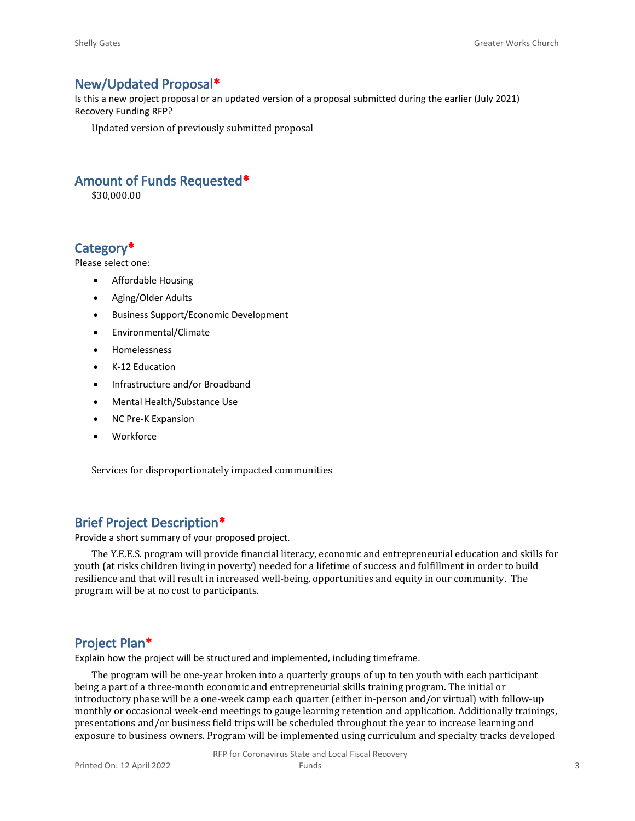### **New/Updated Proposal\***

Is this a new project proposal or an updated version of a proposal submitted during the earlier (July 2021) Recovery Funding RFP?

Updated version of previously submitted proposal

## **Amount of Funds Requested\***

\$30,000.00

# **Category\***

Please select one:

- Affordable Housing
- Aging/Older Adults
- Business Support/Economic Development
- Environmental/Climate
- Homelessness
- K-12 Education
- Infrastructure and/or Broadband
- Mental Health/Substance Use
- NC Pre-K Expansion
- Workforce

Services for disproportionately impacted communities

## **Brief Project Description\***

Provide a short summary of your proposed project.

The Y.E.E.S. program will provide financial literacy, economic and entrepreneurial education and skills for youth (at risks children living in poverty) needed for a lifetime of success and fulfillment in order to build resilience and that will result in increased well-being, opportunities and equity in our community. The program will be at no cost to participants.

### **Project Plan\***

Explain how the project will be structured and implemented, including timeframe.

The program will be one-year broken into a quarterly groups of up to ten youth with each participant being a part of a three-month economic and entrepreneurial skills training program. The initial or introductory phase will be a one-week camp each quarter (either in-person and/or virtual) with follow-up monthly or occasional week-end meetings to gauge learning retention and application. Additionally trainings, presentations and/or business field trips will be scheduled throughout the year to increase learning and exposure to business owners. Program will be implemented using curriculum and specialty tracks developed

> RFP for Coronavirus State and Local Fiscal Recovery Funds 3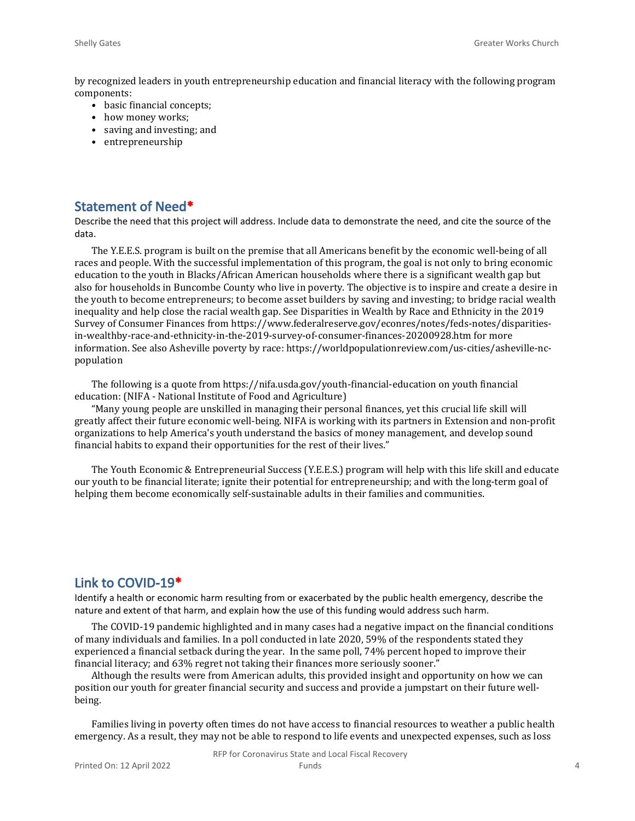by recognized leaders in youth entrepreneurship education and financial literacy with the following program components:

- basic financial concepts;
- how money works;
- saving and investing; and
- entrepreneurship

#### **Statement of Need\***

Describe the need that this project will address. Include data to demonstrate the need, and cite the source of the data.

The Y.E.E.S. program is built on the premise that all Americans benefit by the economic well-being of all races and people. With the successful implementation of this program, the goal is not only to bring economic education to the youth in Blacks/African American households where there is a significant wealth gap but also for households in Buncombe County who live in poverty. The objective is to inspire and create a desire in the youth to become entrepreneurs; to become asset builders by saving and investing; to bridge racial wealth inequality and help close the racial wealth gap. See Disparities in Wealth by Race and Ethnicity in the 2019 Survey of Consumer Finances from https://www.federalreserve.gov/econres/notes/feds-notes/disparitiesin-wealthby-race-and-ethnicity-in-the-2019-survey-of-consumer-finances-20200928.htm for more information. See also Asheville poverty by race: https://worldpopulationreview.com/us-cities/asheville-ncpopulation

The following is a quote from https://nifa.usda.gov/youth-financial-education on youth financial education: (NIFA - National Institute of Food and Agriculture)

"Many young people are unskilled in managing their personal finances, yet this crucial life skill will greatly affect their future economic well-being. NIFA is working with its partners in Extension and non-profit organizations to help America's youth understand the basics of money management, and develop sound financial habits to expand their opportunities for the rest of their lives."

The Youth Economic & Entrepreneurial Success (Y.E.E.S.) program will help with this life skill and educate our youth to be financial literate; ignite their potential for entrepreneurship; and with the long-term goal of helping them become economically self-sustainable adults in their families and communities.

#### **Link to COVID-19\***

Identify a health or economic harm resulting from or exacerbated by the public health emergency, describe the nature and extent of that harm, and explain how the use of this funding would address such harm.

The COVID-19 pandemic highlighted and in many cases had a negative impact on the financial conditions of many individuals and families. In a poll conducted in late 2020, 59% of the respondents stated they experienced a financial setback during the year. In the same poll, 74% percent hoped to improve their financial literacy; and 63% regret not taking their finances more seriously sooner."

Although the results were from American adults, this provided insight and opportunity on how we can position our youth for greater financial security and success and provide a jumpstart on their future wellbeing.

Families living in poverty often times do not have access to financial resources to weather a public health emergency. As a result, they may not be able to respond to life events and unexpected expenses, such as loss

RFP for Coronavirus State and Local Fiscal Recovery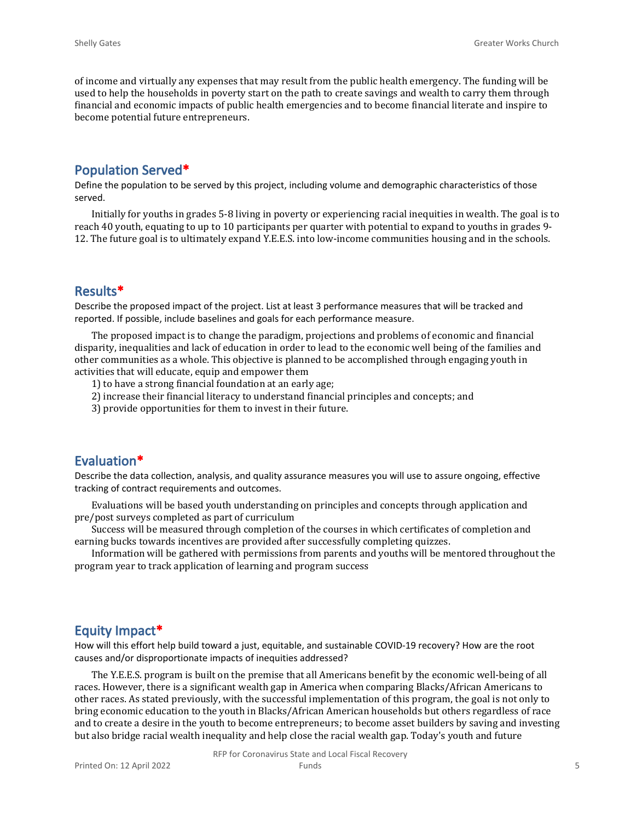of income and virtually any expenses that may result from the public health emergency. The funding will be used to help the households in poverty start on the path to create savings and wealth to carry them through financial and economic impacts of public health emergencies and to become financial literate and inspire to become potential future entrepreneurs.

# **Population Served\***

Define the population to be served by this project, including volume and demographic characteristics of those served.

Initially for youths in grades 5-8 living in poverty or experiencing racial inequities in wealth. The goal is to reach 40 youth, equating to up to 10 participants per quarter with potential to expand to youths in grades 9- 12. The future goal is to ultimately expand Y.E.E.S. into low-income communities housing and in the schools.

## **Results\***

Describe the proposed impact of the project. List at least 3 performance measures that will be tracked and reported. If possible, include baselines and goals for each performance measure.

The proposed impact is to change the paradigm, projections and problems of economic and financial disparity, inequalities and lack of education in order to lead to the economic well being of the families and other communities as a whole. This objective is planned to be accomplished through engaging youth in activities that will educate, equip and empower them

- 1) to have a strong financial foundation at an early age;
- 2) increase their financial literacy to understand financial principles and concepts; and
- 3) provide opportunities for them to invest in their future.

#### **Evaluation\***

Describe the data collection, analysis, and quality assurance measures you will use to assure ongoing, effective tracking of contract requirements and outcomes.

Evaluations will be based youth understanding on principles and concepts through application and pre/post surveys completed as part of curriculum

Success will be measured through completion of the courses in which certificates of completion and earning bucks towards incentives are provided after successfully completing quizzes.

Information will be gathered with permissions from parents and youths will be mentored throughout the program year to track application of learning and program success

#### **Equity Impact\***

How will this effort help build toward a just, equitable, and sustainable COVID-19 recovery? How are the root causes and/or disproportionate impacts of inequities addressed?

The Y.E.E.S. program is built on the premise that all Americans benefit by the economic well-being of all races. However, there is a significant wealth gap in America when comparing Blacks/African Americans to other races. As stated previously, with the successful implementation of this program, the goal is not only to bring economic education to the youth in Blacks/African American households but others regardless of race and to create a desire in the youth to become entrepreneurs; to become asset builders by saving and investing but also bridge racial wealth inequality and help close the racial wealth gap. Today's youth and future

RFP for Coronavirus State and Local Fiscal Recovery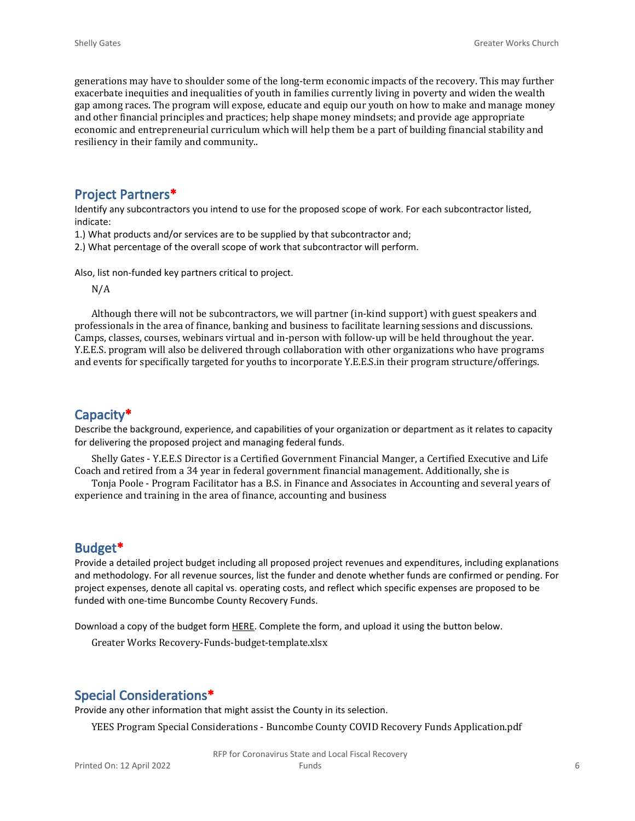generations may have to shoulder some of the long-term economic impacts of the recovery. This may further exacerbate inequities and inequalities of youth in families currently living in poverty and widen the wealth gap among races. The program will expose, educate and equip our youth on how to make and manage money and other financial principles and practices; help shape money mindsets; and provide age appropriate economic and entrepreneurial curriculum which will help them be a part of building financial stability and resiliency in their family and community..

# **Project Partners\***

Identify any subcontractors you intend to use for the proposed scope of work. For each subcontractor listed, indicate:

1.) What products and/or services are to be supplied by that subcontractor and;

2.) What percentage of the overall scope of work that subcontractor will perform.

Also, list non-funded key partners critical to project.

N/A

Although there will not be subcontractors, we will partner (in-kind support) with guest speakers and professionals in the area of finance, banking and business to facilitate learning sessions and discussions. Camps, classes, courses, webinars virtual and in-person with follow-up will be held throughout the year. Y.E.E.S. program will also be delivered through collaboration with other organizations who have programs and events for specifically targeted for youths to incorporate Y.E.E.S.in their program structure/offerings.

# **Capacity\***

Describe the background, experience, and capabilities of your organization or department as it relates to capacity for delivering the proposed project and managing federal funds.

Shelly Gates - Y.E.E.S Director is a Certified Government Financial Manger, a Certified Executive and Life Coach and retired from a 34 year in federal government financial management. Additionally, she is

Tonja Poole - Program Facilitator has a B.S. in Finance and Associates in Accounting and several years of experience and training in the area of finance, accounting and business

# **Budget\***

Provide a detailed project budget including all proposed project revenues and expenditures, including explanations and methodology. For all revenue sources, list the funder and denote whether funds are confirmed or pending. For project expenses, denote all capital vs. operating costs, and reflect which specific expenses are proposed to be funded with one-time Buncombe County Recovery Funds.

Download a copy of the budget form [HERE](https://buncombecounty.org/common/community-investment/grants/early-childhood-education/Recovery-Funds-budget-template.xlsx). Complete the form, and upload it using the button below.

Greater Works Recovery-Funds-budget-template.xlsx

# **Special Considerations\***

Provide any other information that might assist the County in its selection.

YEES Program Special Considerations - Buncombe County COVID Recovery Funds Application.pdf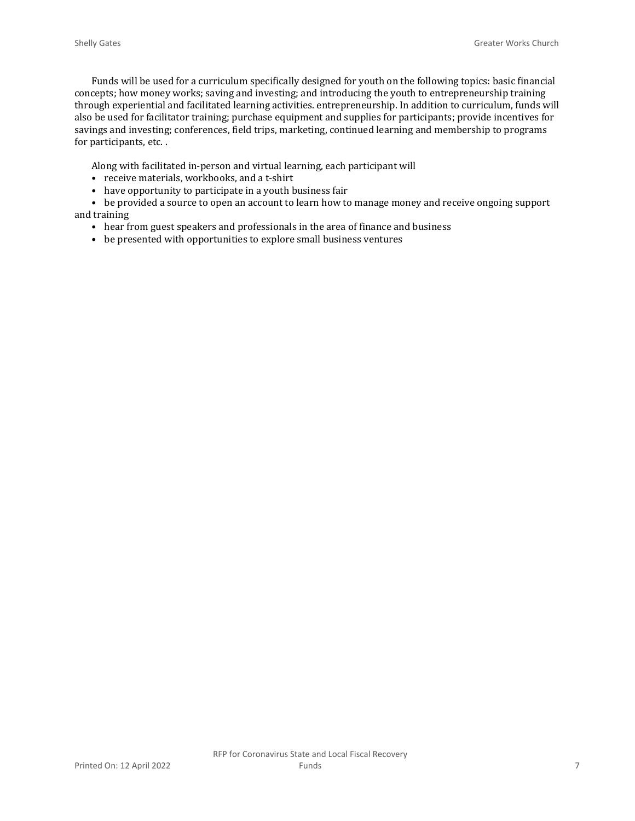Funds will be used for a curriculum specifically designed for youth on the following topics: basic financial concepts; how money works; saving and investing; and introducing the youth to entrepreneurship training through experiential and facilitated learning activities. entrepreneurship. In addition to curriculum, funds will also be used for facilitator training; purchase equipment and supplies for participants; provide incentives for savings and investing; conferences, field trips, marketing, continued learning and membership to programs for participants, etc. .

Along with facilitated in-person and virtual learning, each participant will

- receive materials, workbooks, and a t-shirt
- have opportunity to participate in a youth business fair

• be provided a source to open an account to learn how to manage money and receive ongoing support and training

- hear from guest speakers and professionals in the area of finance and business
- be presented with opportunities to explore small business ventures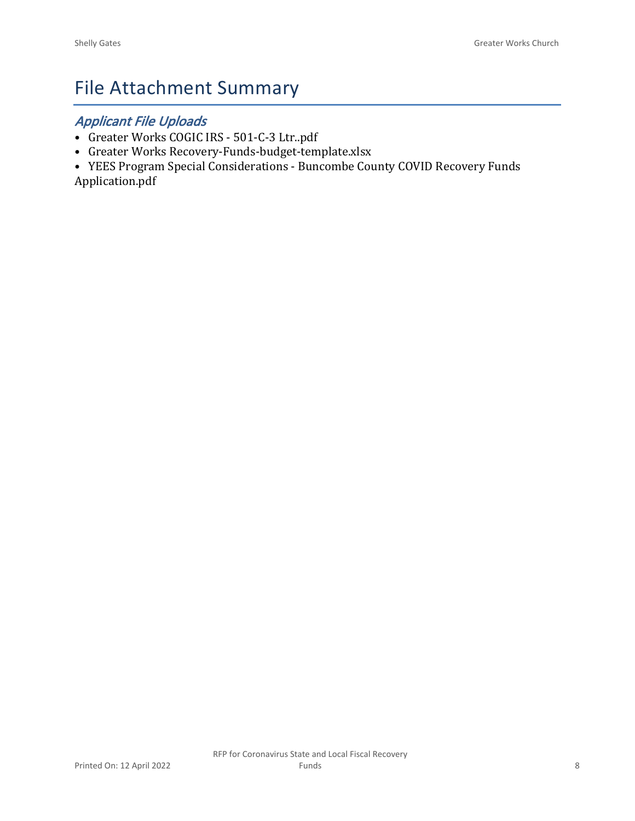# File Attachment Summary

# *Applicant File Uploads*

- Greater Works COGIC IRS 501-C-3 Ltr..pdf
- Greater Works Recovery-Funds-budget-template.xlsx
- YEES Program Special Considerations Buncombe County COVID Recovery Funds Application.pdf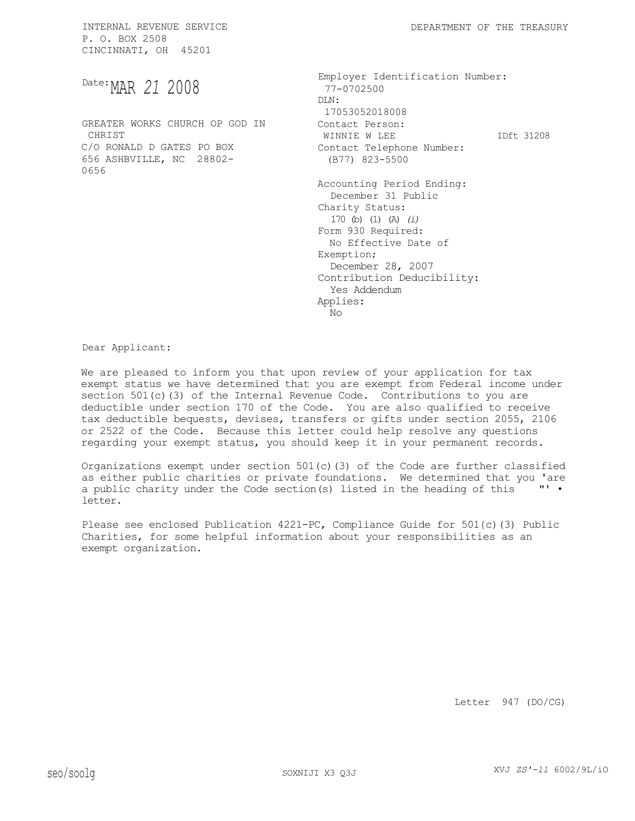MAR *21* 2008 Date:

GREATER WORKS CHURCH OP GOD IN **CHRIST** C/O RONALD D GATES PO BOX 656 ASHBVILLE, NC 28802- 0656

Employer Identification Number: 77-0702500 DLN: 17053052018008 Contact Person: WINNIE W LEE 1Dft 31208 Contact Telephone Number: (B77) 823-5500 Accounting Period Ending: December 31 Public Charity Status: 170 (b) (1) (A) *(i)*  Form 930 Required: No Effective Date of Exemption; December 28, 2007 Contribution Deducibility: Yes Addendum Applies: No

Dear Applicant:

We are pleased to inform you that upon review of your application for tax exempt status we have determined that you are exempt from Federal income under section 501(c)(3) of the Internal Revenue Code. Contributions to you are deductible under section 170 of the Code. You are also qualified to receive tax deductible bequests, devises, transfers or gifts under section 2055, 2106 or 2522 of the Code. Because this letter could help resolve any questions regarding your exempt status, you should keep it in your permanent records.

Organizations exempt under section 501(c)(3) of the Code are further classified as either public charities or private foundations. We determined that you 'are a public charity under the Code section(s) listed in the heading of this "' " letter.

Please see enclosed Publication 4221-PC, Compliance Guide for 501{c)(3) Public Charities, for some helpful information about your responsibilities as an exempt organization.

Letter 947 (DO/CG)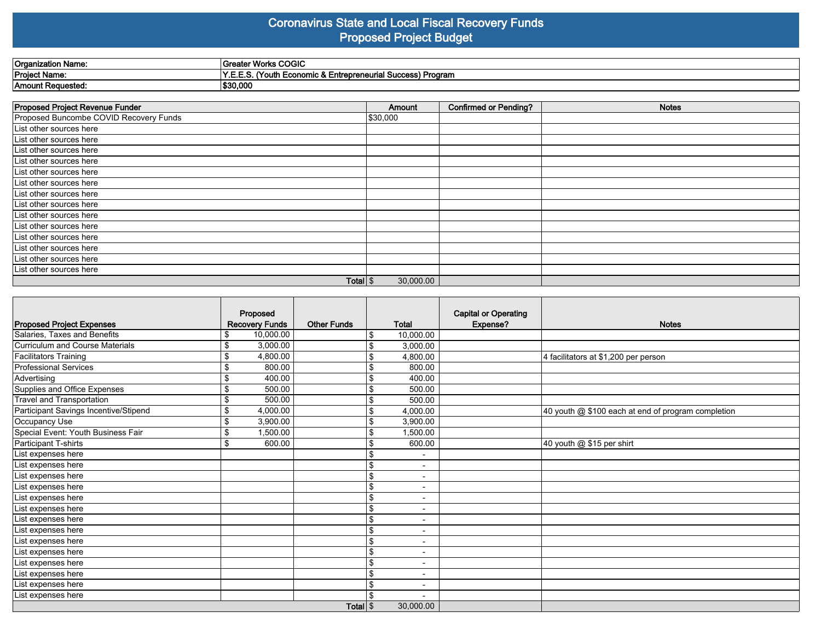#### **Coronavirus State and Local Fiscal Recovery Funds Proposed Project Budget**

| Organization Name: | <b>Atom Worke COOLS</b><br>, wurs COGI             |
|--------------------|----------------------------------------------------|
| Project Name:      | (Youth Economic & Entrepreneurial Success) Program |
| Amount Requested:  | \$30,000                                           |

| Proposed Project Revenue Funder        | Amount    | <b>Confirmed or Pending?</b> | <b>Notes</b> |
|----------------------------------------|-----------|------------------------------|--------------|
| Proposed Buncombe COVID Recovery Funds | \$30,000  |                              |              |
| List other sources here                |           |                              |              |
| List other sources here                |           |                              |              |
| List other sources here                |           |                              |              |
| List other sources here                |           |                              |              |
| List other sources here                |           |                              |              |
| List other sources here                |           |                              |              |
| List other sources here                |           |                              |              |
| List other sources here                |           |                              |              |
| List other sources here                |           |                              |              |
| List other sources here                |           |                              |              |
| List other sources here                |           |                              |              |
| List other sources here                |           |                              |              |
| List other sources here                |           |                              |              |
| List other sources here                |           |                              |              |
| Total $\frac{1}{3}$                    | 30,000.00 |                              |              |

| <b>Proposed Project Expenses</b>      | Proposed<br><b>Recovery Funds</b> | <b>Other Funds</b> | <b>Total</b>   |                          | <b>Capital or Operating</b><br>Expense? | <b>Notes</b>                                       |
|---------------------------------------|-----------------------------------|--------------------|----------------|--------------------------|-----------------------------------------|----------------------------------------------------|
| Salaries, Taxes and Benefits          | 10,000.00<br>\$                   |                    | \$             | 10,000.00                |                                         |                                                    |
| Curriculum and Course Materials       | \$<br>3,000.00                    |                    | \$             | 3,000.00                 |                                         |                                                    |
| Facilitators Training                 | \$<br>4,800.00                    |                    | \$             | 4,800.00                 |                                         | 4 facilitators at \$1,200 per person               |
| <b>Professional Services</b>          | \$<br>800.00                      |                    | \$             | 800.00                   |                                         |                                                    |
| Advertising                           | \$<br>400.00                      |                    | \$             | 400.00                   |                                         |                                                    |
| Supplies and Office Expenses          | \$<br>500.00                      |                    |                | 500.00                   |                                         |                                                    |
| <b>Travel and Transportation</b>      | \$<br>500.00                      |                    | \$             | 500.00                   |                                         |                                                    |
| Participant Savings Incentive/Stipend | \$<br>4,000.00                    |                    | \$             | 4,000.00                 |                                         | 40 youth @ \$100 each at end of program completion |
| Occupancy Use                         | \$<br>3,900.00                    |                    | \$             | 3,900.00                 |                                         |                                                    |
| Special Event: Youth Business Fair    | \$<br>1,500.00                    |                    | \$             | 1,500.00                 |                                         |                                                    |
| Participant T-shirts                  | \$<br>600.00                      |                    | \$             | 600.00                   |                                         | 40 youth @ \$15 per shirt                          |
| List expenses here                    |                                   |                    | \$             | $\blacksquare$           |                                         |                                                    |
| List expenses here                    |                                   |                    | \$             | $\overline{\phantom{a}}$ |                                         |                                                    |
| List expenses here                    |                                   |                    | \$             | $\blacksquare$           |                                         |                                                    |
| List expenses here                    |                                   |                    | \$             | $\overline{\phantom{a}}$ |                                         |                                                    |
| List expenses here                    |                                   |                    | \$             | $\blacksquare$           |                                         |                                                    |
| List expenses here                    |                                   |                    | \$             | $\overline{\phantom{0}}$ |                                         |                                                    |
| List expenses here                    |                                   |                    | \$             |                          |                                         |                                                    |
| List expenses here                    |                                   |                    | \$             | $\blacksquare$           |                                         |                                                    |
| List expenses here                    |                                   |                    | \$             | $\overline{\phantom{a}}$ |                                         |                                                    |
| List expenses here                    |                                   |                    | \$             | $\overline{\phantom{0}}$ |                                         |                                                    |
| List expenses here                    |                                   |                    | $\mathfrak{L}$ | $\overline{\phantom{0}}$ |                                         |                                                    |
| List expenses here                    |                                   |                    | $\mathfrak{L}$ | $\overline{\phantom{a}}$ |                                         |                                                    |
| List expenses here                    |                                   |                    | \$             | $\overline{\phantom{a}}$ |                                         |                                                    |
| List expenses here                    |                                   |                    |                |                          |                                         |                                                    |
|                                       | Total \$                          |                    | 30,000.00      |                          |                                         |                                                    |